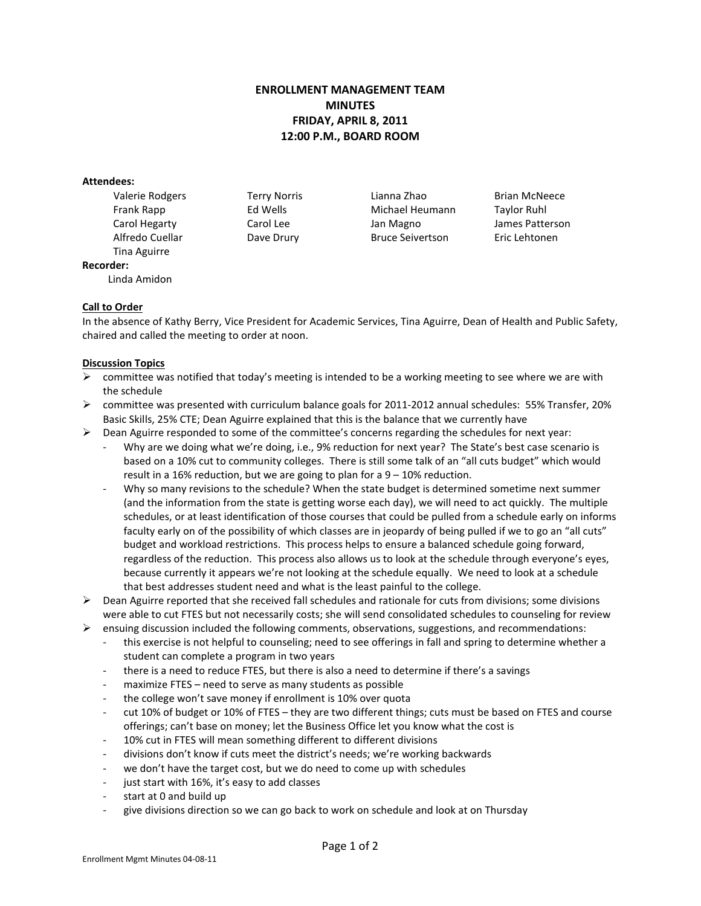## **ENROLLMENT MANAGEMENT TEAM MINUTES FRIDAY, APRIL 8, 2011 12:00 P.M., BOARD ROOM**

#### **Attendees:**

Tina Aguirre

Linda Amidon

Valerie Rodgers Terry Norris Lianna Zhao Brian McNeece Frank Rapp Ed Wells Michael Heumann Taylor Ruhl Carol Hegarty **Carol Lee** Jan Magno James Patterson Alfredo Cuellar Dave Drury Bruce Seivertson Eric Lehtonen

# **Call to Order**

**Recorder:**

In the absence of Kathy Berry, Vice President for Academic Services, Tina Aguirre, Dean of Health and Public Safety, chaired and called the meeting to order at noon.

### **Discussion Topics**

- $\triangleright$  committee was notified that today's meeting is intended to be a working meeting to see where we are with the schedule
- $\triangleright$  committee was presented with curriculum balance goals for 2011-2012 annual schedules: 55% Transfer, 20% Basic Skills, 25% CTE; Dean Aguirre explained that this is the balance that we currently have
- $\triangleright$  Dean Aguirre responded to some of the committee's concerns regarding the schedules for next year:
	- Why are we doing what we're doing, i.e., 9% reduction for next year? The State's best case scenario is based on a 10% cut to community colleges. There is still some talk of an "all cuts budget" which would result in a 16% reduction, but we are going to plan for a  $9 - 10\%$  reduction.
	- Why so many revisions to the schedule? When the state budget is determined sometime next summer (and the information from the state is getting worse each day), we will need to act quickly. The multiple schedules, or at least identification of those courses that could be pulled from a schedule early on informs faculty early on of the possibility of which classes are in jeopardy of being pulled if we to go an "all cuts" budget and workload restrictions. This process helps to ensure a balanced schedule going forward, regardless of the reduction. This process also allows us to look at the schedule through everyone's eyes, because currently it appears we're not looking at the schedule equally. We need to look at a schedule that best addresses student need and what is the least painful to the college.
- $\triangleright$  Dean Aguirre reported that she received fall schedules and rationale for cuts from divisions; some divisions were able to cut FTES but not necessarily costs; she will send consolidated schedules to counseling for review
- ensuing discussion included the following comments, observations, suggestions, and recommendations:
	- this exercise is not helpful to counseling; need to see offerings in fall and spring to determine whether a student can complete a program in two years
	- there is a need to reduce FTES, but there is also a need to determine if there's a savings
	- maximize FTES need to serve as many students as possible
	- the college won't save money if enrollment is 10% over quota
	- cut 10% of budget or 10% of FTES they are two different things; cuts must be based on FTES and course offerings; can't base on money; let the Business Office let you know what the cost is
	- 10% cut in FTES will mean something different to different divisions
	- divisions don't know if cuts meet the district's needs; we're working backwards
	- we don't have the target cost, but we do need to come up with schedules
	- just start with 16%, it's easy to add classes
	- start at 0 and build up
	- give divisions direction so we can go back to work on schedule and look at on Thursday